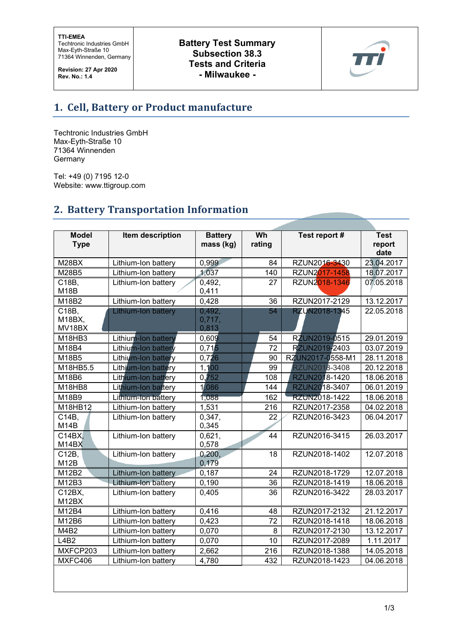**TTI-EMEA** Techtronic Industries GmbH Max-Eyth-Straße 10 71364 Winnenden, Germany

**Revision: 27 Apr 2020 Rev. No.: 1.4**

**Battery Test Summary Subsection 38.3 Tests and Criteria - Milwaukee -**



## **1. Cell, Battery or Product manufacture**

Techtronic Industries GmbH Max-Eyth-Straße 10 71364 Winnenden **Germany** 

Tel: +49 (0) 7195 12-0 Website: www.ttigroup.com

### **2. Battery Transportation Information**

| <b>Model</b><br><b>Type</b> | Item description    | <b>Battery</b><br>mass (kg) | Wh<br>rating | Test report #    | <b>Test</b><br>report<br>date |
|-----------------------------|---------------------|-----------------------------|--------------|------------------|-------------------------------|
| M28BX                       | Lithium-Ion battery | 0,999                       | 84           | RZUN2016-3430    | 23.04.2017                    |
| M28B5                       | Lithium-Ion battery | 1,037                       | 140          | RZUN2017-1458    | 18.07.2017                    |
| C18B.                       | Lithium-Ion battery | 0,492,                      | 27           | RZUN2018-1346    | 07.05.2018                    |
| <b>M18B</b>                 |                     | 0,411                       |              |                  |                               |
| M18B2                       | Lithium-Ion battery | 0,428                       | 36           | RZUN2017-2129    | 13.12.2017                    |
| C18B.                       | Lithium-Ion battery | 0,492,                      | 54           | RZUN2018-1345    | 22.05.2018                    |
| M18BX,<br>MV18BX            |                     | 0,717,<br>0,813             |              |                  |                               |
| M18HB3                      | Lithium-Ion battery | 0,609                       | 54           | RZUN2019-0515    | 29.01.2019                    |
| M18B4                       | Lithium-Ion battery | 0,715                       | 72           | RZUN2019-2403    | 03.07.2019                    |
| M18B5                       | Lithium-Ion battery | 0,726                       | 90           | RZUN2017-0558-M1 | 28.11.2018                    |
| M18HB5.5                    | Lithjum-Ion battery | 1,100                       | 99           | RZUN2018-3408    | 20.12.2018                    |
| M18B6                       | Lithium-Ion battery | 0,752                       | 108          | RZUN2018-1420    | 18.06.2018                    |
| M18HB8                      | Lithium-Ion battery | 1,086                       | 144          | RZUN2018-3407    | 06.01.2019                    |
| M18B9                       | Lithium-Ion battery | 1,088                       | 162          | RZUN2018-1422    | 18.06.2018                    |
| M18HB12                     | Lithium-Ion battery | 1,531                       | 216          | RZUN2017-2358    | 04.02.2018                    |
| C14B.                       | Lithium-Ion battery | 0,347,                      | 22           | RZUN2016-3423    | 06.04.2017                    |
| <b>M14B</b>                 |                     | 0,345                       |              |                  |                               |
| C14BX.                      | Lithium-Ion battery | 0,621,                      | 44           | RZUN2016-3415    | 26.03.2017                    |
| M14BX                       |                     | 0,578                       |              |                  |                               |
| C12B,                       | Lithium-Ion battery | 0,200,                      | 18           | RZUN2018-1402    | 12.07.2018                    |
| M12B                        |                     | 0,179                       |              |                  |                               |
| M12B2                       | Lithium-Ion battery | 0,187                       | 24           | RZUN2018-1729    | 12.07.2018                    |
| M12B3                       | Lithium-Ion battery | 0,190                       | 36           | RZUN2018-1419    | 18.06.2018                    |
| C12BX,<br>M12BX             | Lithium-Ion battery | 0,405                       | 36           | RZUN2016-3422    | 28.03.2017                    |
| M12B4                       | Lithium-Ion battery | 0,416                       | 48           | RZUN2017-2132    | 21.12.2017                    |
| M12B6                       | Lithium-Ion battery | 0.423                       | 72           | RZUN2018-1418    | 18.06.2018                    |
| M4B2                        | Lithium-Ion battery | 0,070                       | 8            | RZUN2017-2130    | 13.12.2017                    |
| L4B2                        | Lithium-Ion battery | 0,070                       | 10           | RZUN2017-2089    | 1.11.2017                     |
| MXFCP203                    | Lithium-Ion battery | 2,662                       | 216          | RZUN2018-1388    | 14.05.2018                    |
| MXFC406                     | Lithium-Ion battery | 4,780                       | 432          | RZUN2018-1423    | 04.06.2018                    |
|                             |                     |                             |              |                  |                               |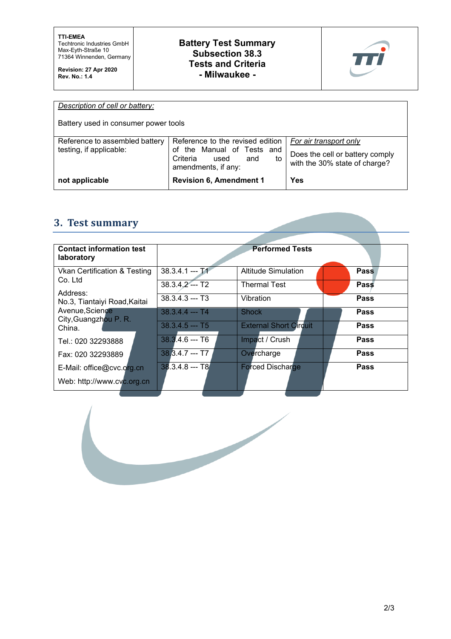**TTI-EMEA** Techtronic Industries GmbH Max-Eyth-Straße 10 71364 Winnenden, Germany

**Revision: 27 Apr 2020 Rev. No.: 1.4**



| Description of cell or battery:                           |                                                                                                                        |                                                                                            |  |  |  |  |  |  |
|-----------------------------------------------------------|------------------------------------------------------------------------------------------------------------------------|--------------------------------------------------------------------------------------------|--|--|--|--|--|--|
| Battery used in consumer power tools                      |                                                                                                                        |                                                                                            |  |  |  |  |  |  |
| Reference to assembled battery<br>testing, if applicable: | Reference to the revised edition<br>of the Manual of Tests and<br>Criteria<br>used<br>and<br>to<br>amendments, if any: | For air transport only<br>Does the cell or battery comply<br>with the 30% state of charge? |  |  |  |  |  |  |
| not applicable                                            | <b>Revision 6, Amendment 1</b>                                                                                         | Yes                                                                                        |  |  |  |  |  |  |

# **3. Test summary**

| <b>Contact information test</b><br>laboratory      | <b>Performed Tests</b> |                               |             |  |  |
|----------------------------------------------------|------------------------|-------------------------------|-------------|--|--|
| <b>Vkan Certification &amp; Testing</b><br>Co. Ltd | $38.3.4.1 -- T1$       | <b>Altitude Simulation</b>    | <b>Pass</b> |  |  |
|                                                    | $38.3.4.2 - T2$        | <b>Thermal Test</b>           | Pass        |  |  |
| Address:<br>No.3, Tiantaiyi Road, Kaitai           | $38.3.4.3 -- T3$       | Vibration                     | Pass        |  |  |
| Avenue, Science<br>City, Guangzhou P. R.           | $38.3.4.4 -- T4$       | <b>Shock</b>                  | <b>Pass</b> |  |  |
| China.                                             | $38.3.4.5 - T5$        | <b>External Short Circuit</b> | <b>Pass</b> |  |  |
| Tel.: 020 32293888                                 | $38.3.4.6 - T6$        | Impact / Crush                | <b>Pass</b> |  |  |
| Fax: 020 32293889                                  | 38.3.4.7 --- T7        | Overcharge                    | <b>Pass</b> |  |  |
| E-Mail: office@cvc.org.cn                          | 38.3.4.8 --- T8        | <b>Forced Discharge</b>       | <b>Pass</b> |  |  |
| Web: http://www.cvc.org.cn                         |                        |                               |             |  |  |